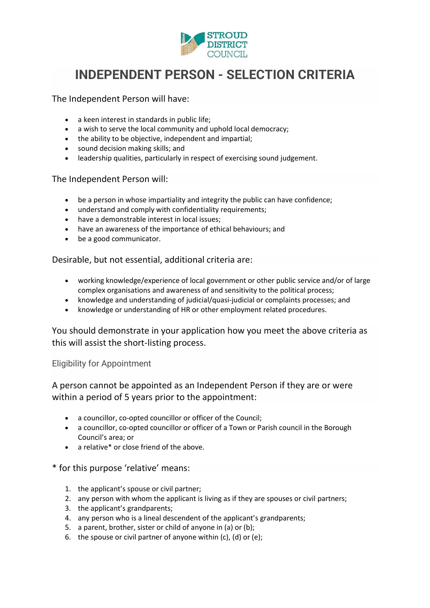

## **INDEPENDENT PERSON - SELECTION CRITERIA**

The Independent Person will have:

- a keen interest in standards in public life;
- a wish to serve the local community and uphold local democracy;
- the ability to be objective, independent and impartial;
- sound decision making skills; and
- leadership qualities, particularly in respect of exercising sound judgement.

## The Independent Person will:

- be a person in whose impartiality and integrity the public can have confidence;
- understand and comply with confidentiality requirements;
- have a demonstrable interest in local issues;
- have an awareness of the importance of ethical behaviours; and
- be a good communicator.

Desirable, but not essential, additional criteria are:

- working knowledge/experience of local government or other public service and/or of large complex organisations and awareness of and sensitivity to the political process;
- knowledge and understanding of judicial/quasi-judicial or complaints processes; and
- knowledge or understanding of HR or other employment related procedures.

You should demonstrate in your application how you meet the above criteria as this will assist the short-listing process.

## Eligibility for Appointment

A person cannot be appointed as an Independent Person if they are or were within a period of 5 years prior to the appointment:

- a councillor, co-opted councillor or officer of the Council;
- a councillor, co-opted councillor or officer of a Town or Parish council in the Borough Council's area; or
- a relative\* or close friend of the above.

## \* for this purpose 'relative' means:

- 1. the applicant's spouse or civil partner;
- 2. any person with whom the applicant is living as if they are spouses or civil partners;
- 3. the applicant's grandparents;
- 4. any person who is a lineal descendent of the applicant's grandparents;
- 5. a parent, brother, sister or child of anyone in (a) or (b);
- 6. the spouse or civil partner of anyone within (c), (d) or (e);